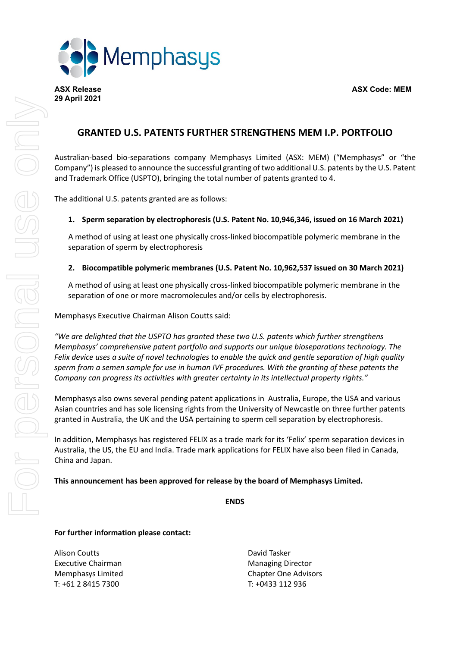**ASX Release ASX Code: MEM**



## **GRANTED U.S. PATENTS FURTHER STRENGTHENS MEM I.P. PORTFOLIO**

Australian-based bio-separations company Memphasys Limited (ASX: MEM) ("Memphasys" or "the Company") is pleased to announce the successful granting of two additional U.S. patents by the U.S. Patent and Trademark Office (USPTO), bringing the total number of patents granted to 4.

The additional U.S. patents granted are as follows:

## **1. Sperm separation by electrophoresis (U.S. Patent No. 10,946,346, issued on 16 March 2021)**

A method of using at least one physically cross-linked biocompatible polymeric membrane in the separation of sperm by electrophoresis

## **2. Biocompatible polymeric membranes (U.S. Patent No. 10,962,537 issued on 30 March 2021)**

A method of using at least one physically cross-linked biocompatible polymeric membrane in the separation of one or more macromolecules and/or cells by electrophoresis.

Memphasys Executive Chairman Alison Coutts said:

*"We are delighted that the USPTO has granted these two U.S. patents which further strengthens Memphasys' comprehensive patent portfolio and supports our unique bioseparations technology. The* Felix device uses a suite of novel technologies to enable the quick and gentle separation of high quality *sperm from a semen sample for use in human IVF procedures. With the granting of these patents the Company can progress its activities with greater certainty in its intellectual property rights."*

Memphasys also owns several pending patent applications in Australia, Europe, the USA and various Asian countries and has sole licensing rights from the University of Newcastle on three further patents granted in Australia, the UK and the USA pertaining to sperm cell separation by electrophoresis.

In addition, Memphasys has registered FELIX as a trade mark for its 'Felix' sperm separation devices in Australia, the US, the EU and India. Trade mark applications for FELIX have also been filed in Canada, China and Japan.

**This announcement has been approved for release by the board of Memphasys Limited.**

**ENDS**

## **For further information please contact:**

Alison Coutts David Tasker Executive Chairman Managing Director T: +61 2 8415 7300 T: +0433 112 936

Memphasys Limited **Chapter Chapter One Advisors** Chapter One Advisors